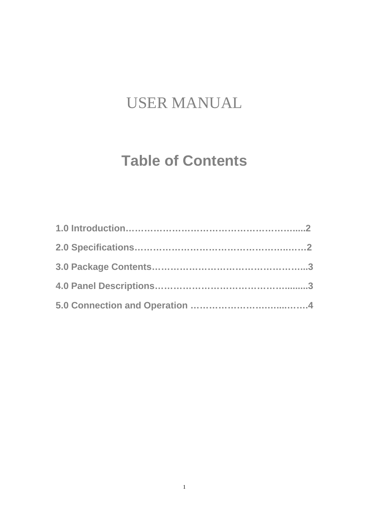# USER MANUAL

# **Table of Contents**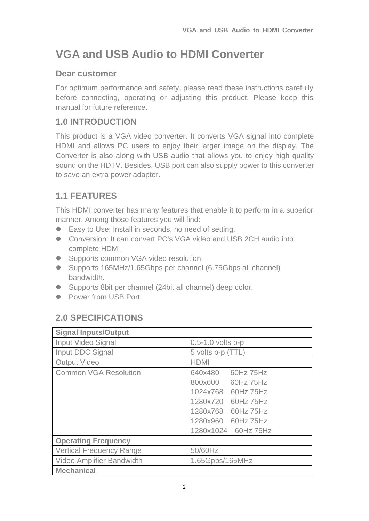# **VGA and USB Audio to HDMI Converter**

### **Dear customer**

For optimum performance and safety, please read these instructions carefully before connecting, operating or adjusting this product. Please keep this manual for future reference.

# **1.0 INTRODUCTION**

This product is a VGA video converter. It converts VGA signal into complete HDMI and allows PC users to enjoy their larger image on the display. The Converter is also along with USB audio that allows you to enjoy high quality sound on the HDTV. Besides, USB port can also supply power to this converter to save an extra power adapter.

# **1.1 FEATURES**

This HDMI converter has many features that enable it to perform in a superior manner. Among those features you will find:

- Easy to Use: Install in seconds, no need of setting.
- Conversion: It can convert PC's VGA video and USB 2CH audio into complete HDMI.
- **Supports common VGA video resolution.**
- Supports 165MHz/1.65Gbps per channel (6.75Gbps all channel) bandwidth.
- Supports 8bit per channel (24bit all channel) deep color.
- Power from USB Port.

# **2.0 SPECIFICATIONS**

| <b>Signal Inputs/Output</b>     |                                                                                                                                                          |
|---------------------------------|----------------------------------------------------------------------------------------------------------------------------------------------------------|
| <b>Input Video Signal</b>       | 0.5-1.0 volts p-p                                                                                                                                        |
| Input DDC Signal                | 5 volts p-p (TTL)                                                                                                                                        |
| <b>Output Video</b>             | <b>HDMI</b>                                                                                                                                              |
| <b>Common VGA Resolution</b>    | 640x480<br>60Hz 75Hz<br>800x600 60Hz 75Hz<br>1024x768 60Hz 75Hz<br>1280x720 60Hz 75Hz<br>1280x768 60Hz 75Hz<br>1280x960 60Hz 75Hz<br>1280x1024 60Hz 75Hz |
| <b>Operating Frequency</b>      |                                                                                                                                                          |
| <b>Vertical Frequency Range</b> | 50/60Hz                                                                                                                                                  |
| Video Amplifier Bandwidth       | 1.65Gpbs/165MHz                                                                                                                                          |
| <b>Mechanical</b>               |                                                                                                                                                          |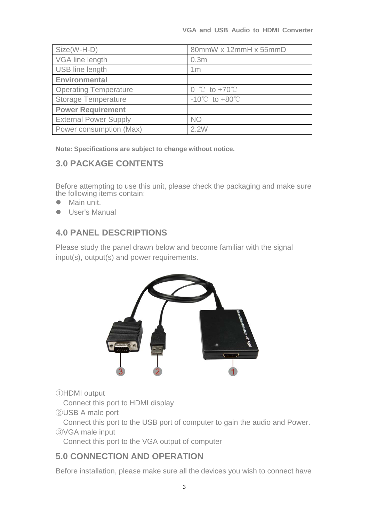| Size(W-H-D)                  | 80mmW x 12mmH x 55mmD                                           |
|------------------------------|-----------------------------------------------------------------|
| VGA line length              | 0.3 <sub>m</sub>                                                |
| USB line length              | 1 <sub>m</sub>                                                  |
| Environmental                |                                                                 |
| <b>Operating Temperature</b> | $0 \text{ } ^{\circ}\text{C}$ to +70 $\text{ }^{\circ}\text{C}$ |
| <b>Storage Temperature</b>   | $-10^{\circ}$ to $+80^{\circ}$                                  |
| <b>Power Requirement</b>     |                                                                 |
| <b>External Power Supply</b> | <b>NO</b>                                                       |
| Power consumption (Max)      | 2.2M                                                            |

**Note: Specifications are subject to change without notice.** 

#### **3.0 PACKAGE CONTENTS**

Before attempting to use this unit, please check the packaging and make sure the following items contain:

- Main unit.
- User's Manual

#### **4.0 PANEL DESCRIPTIONS**

Please study the panel drawn below and become familiar with the signal input(s), output(s) and power requirements.



①HDMI output

Connect this port to HDMI display

②USB A male port

 Connect this port to the USB port of computer to gain the audio and Power. ③VGA male input

Connect this port to the VGA output of computer

#### **5.0 CONNECTION AND OPERATION**

Before installation, please make sure all the devices you wish to connect have